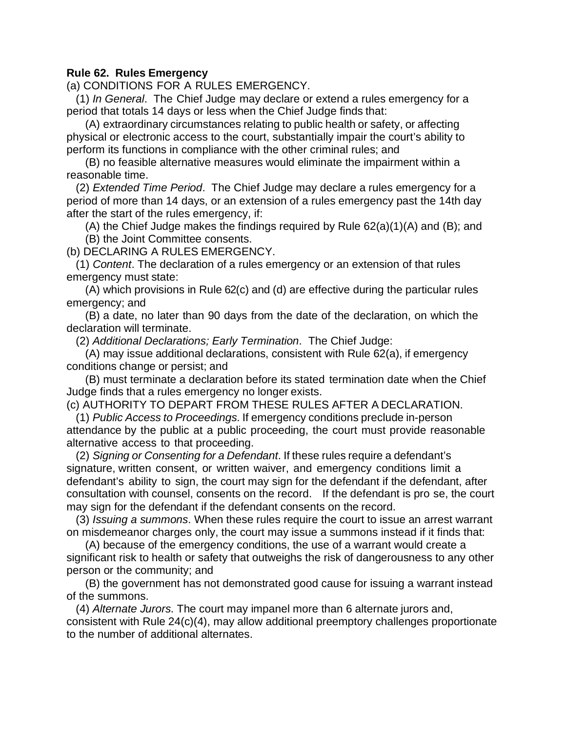## **Rule 62. Rules Emergency**

(a) CONDITIONS FOR A RULES EMERGENCY.

 (1) *In General*. The Chief Judge may declare or extend a rules emergency for a period that totals 14 days or less when the Chief Judge finds that:

 (A) extraordinary circumstances relating to public health or safety, or affecting physical or electronic access to the court, substantially impair the court's ability to perform its functions in compliance with the other criminal rules; and

 (B) no feasible alternative measures would eliminate the impairment within a reasonable time.

 (2) *Extended Time Period*. The Chief Judge may declare a rules emergency for a period of more than 14 days, or an extension of a rules emergency past the 14th day after the start of the rules emergency, if:

 (A) the Chief Judge makes the findings required by Rule 62(a)(1)(A) and (B); and (B) the Joint Committee consents.

(b) DECLARING A RULES EMERGENCY.

 (1) *Content*. The declaration of a rules emergency or an extension of that rules emergency must state:

 (A) which provisions in Rule 62(c) and (d) are effective during the particular rules emergency; and

 (B) a date, no later than 90 days from the date of the declaration, on which the declaration will terminate.

(2) *Additional Declarations; Early Termination*. The Chief Judge:

 (A) may issue additional declarations, consistent with Rule 62(a), if emergency conditions change or persist; and

 (B) must terminate a declaration before its stated termination date when the Chief Judge finds that a rules emergency no longer exists.

(c) AUTHORITY TO DEPART FROM THESE RULES AFTER A DECLARATION.

 (1) *Public Access to Proceedings*. If emergency conditions preclude in-person attendance by the public at a public proceeding, the court must provide reasonable alternative access to that proceeding.

 (2) *Signing or Consenting for a Defendant*. If these rules require a defendant's signature, written consent, or written waiver, and emergency conditions limit a defendant's ability to sign, the court may sign for the defendant if the defendant, after consultation with counsel, consents on the record. If the defendant is pro se, the court may sign for the defendant if the defendant consents on the record.

 (3) *Issuing a summons*. When these rules require the court to issue an arrest warrant on misdemeanor charges only, the court may issue a summons instead if it finds that:

 (A) because of the emergency conditions, the use of a warrant would create a significant risk to health or safety that outweighs the risk of dangerousness to any other person or the community; and

 (B) the government has not demonstrated good cause for issuing a warrant instead of the summons.

 (4) *Alternate Jurors*. The court may impanel more than 6 alternate jurors and, consistent with Rule 24(c)(4), may allow additional preemptory challenges proportionate to the number of additional alternates.